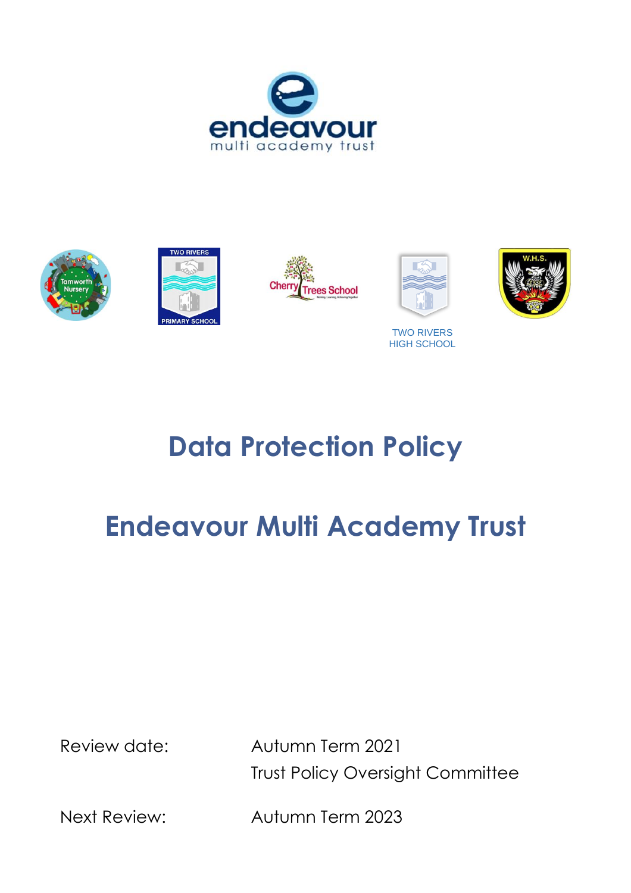



TWO RIVERS HIGH SCHOOL

# **Data Protection Policy**

# **Endeavour Multi Academy Trust**

Review date: Autumn Term 2021 Trust Policy Oversight Committee

Next Review: Autumn Term 2023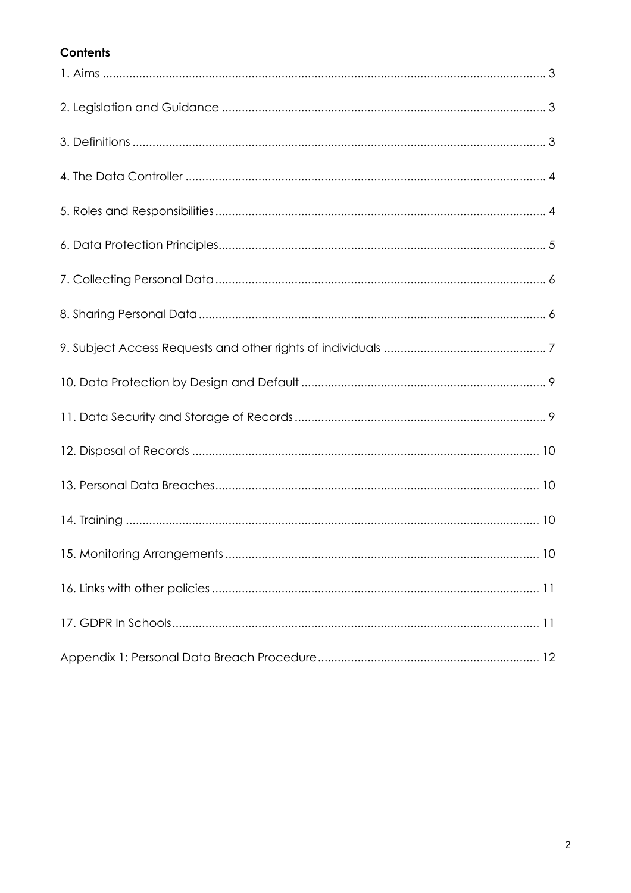# **Contents**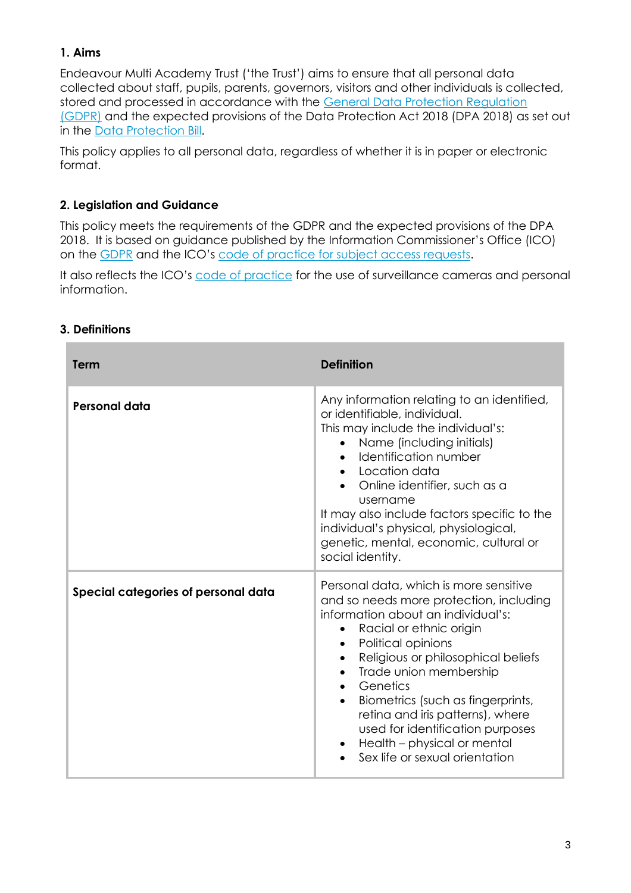# **1. Aims**

Endeavour Multi Academy Trust ('the Trust') aims to ensure that all personal data collected about staff, pupils, parents, governors, visitors and other individuals is collected, stored and processed in accordance with the [General Data Protection Regulation](http://data.consilium.europa.eu/doc/document/ST-5419-2016-INIT/en/pdf)  [\(GDPR\)](http://data.consilium.europa.eu/doc/document/ST-5419-2016-INIT/en/pdf) and the expected provisions of the Data Protection Act 2018 (DPA 2018) as set out in the [Data Protection Bill.](https://publications.parliament.uk/pa/bills/cbill/2017-2019/0153/18153.pdf)

This policy applies to all personal data, regardless of whether it is in paper or electronic format.

# **2. Legislation and Guidance**

This policy meets the requirements of the GDPR and the expected provisions of the DPA 2018. It is based on guidance published by the Information Commissioner's Office (ICO) on the [GDPR](https://ico.org.uk/for-organisations/guide-to-the-general-data-protection-regulation-gdpr/) and the ICO's [code of practice for subject access requests.](https://ico.org.uk/media/for-organisations/documents/2014223/subject-access-code-of-practice.pdf)

It also reflects the ICO's [code of practice](https://ico.org.uk/media/for-organisations/documents/1542/cctv-code-of-practice.pdf) for the use of surveillance cameras and personal information.

#### **3. Definitions**

| <b>Term</b>                         | <b>Definition</b>                                                                                                                                                                                                                                                                                                                                                                                                                                                                      |
|-------------------------------------|----------------------------------------------------------------------------------------------------------------------------------------------------------------------------------------------------------------------------------------------------------------------------------------------------------------------------------------------------------------------------------------------------------------------------------------------------------------------------------------|
| Personal data                       | Any information relating to an identified,<br>or identifiable, individual.<br>This may include the individual's:<br>Name (including initials)<br>Identification number<br>• Location data<br>Online identifier, such as a<br>username<br>It may also include factors specific to the<br>individual's physical, physiological,<br>genetic, mental, economic, cultural or<br>social identity.                                                                                            |
| Special categories of personal data | Personal data, which is more sensitive<br>and so needs more protection, including<br>information about an individual's:<br>Racial or ethnic origin<br>Political opinions<br>$\bullet$<br>Religious or philosophical beliefs<br>$\bullet$<br>Trade union membership<br>$\bullet$<br>Genetics<br>Biometrics (such as fingerprints,<br>$\bullet$<br>retina and iris patterns), where<br>used for identification purposes<br>Health - physical or mental<br>Sex life or sexual orientation |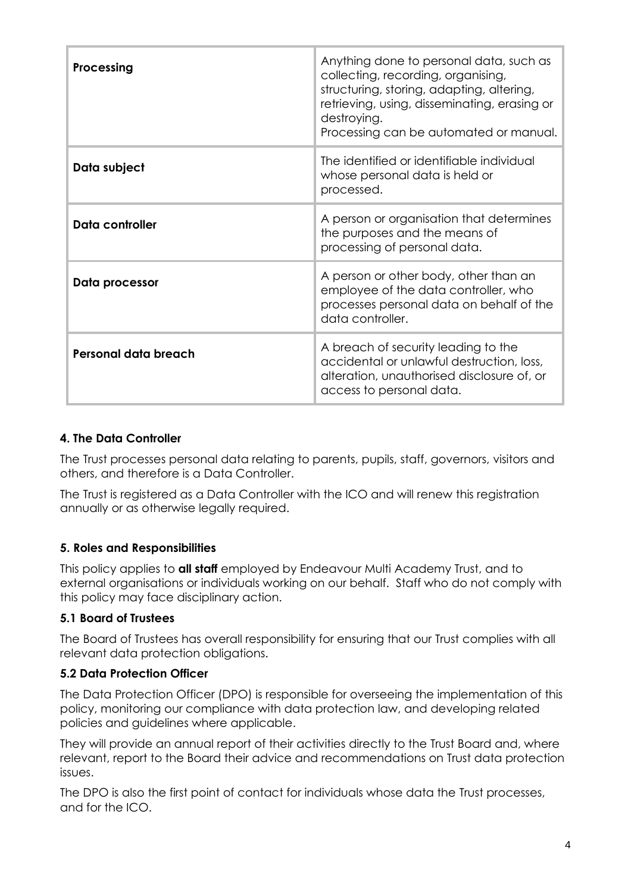| <b>Processing</b>    | Anything done to personal data, such as<br>collecting, recording, organising,<br>structuring, storing, adapting, altering,<br>retrieving, using, disseminating, erasing or<br>destroying.<br>Processing can be automated or manual. |
|----------------------|-------------------------------------------------------------------------------------------------------------------------------------------------------------------------------------------------------------------------------------|
| Data subject         | The identified or identifiable individual<br>whose personal data is held or<br>processed.                                                                                                                                           |
| Data controller      | A person or organisation that determines<br>the purposes and the means of<br>processing of personal data.                                                                                                                           |
| Data processor       | A person or other body, other than an<br>employee of the data controller, who<br>processes personal data on behalf of the<br>data controller.                                                                                       |
| Personal data breach | A breach of security leading to the<br>accidental or unlawful destruction, loss,<br>alteration, unauthorised disclosure of, or<br>access to personal data.                                                                          |

#### **4. The Data Controller**

The Trust processes personal data relating to parents, pupils, staff, governors, visitors and others, and therefore is a Data Controller.

The Trust is registered as a Data Controller with the ICO and will renew this registration annually or as otherwise legally required.

# **5. Roles and Responsibilities**

This policy applies to **all staff** employed by Endeavour Multi Academy Trust, and to external organisations or individuals working on our behalf. Staff who do not comply with this policy may face disciplinary action.

# **5.1 Board of Trustees**

The Board of Trustees has overall responsibility for ensuring that our Trust complies with all relevant data protection obligations.

#### **5.2 Data Protection Officer**

The Data Protection Officer (DPO) is responsible for overseeing the implementation of this policy, monitoring our compliance with data protection law, and developing related policies and guidelines where applicable.

They will provide an annual report of their activities directly to the Trust Board and, where relevant, report to the Board their advice and recommendations on Trust data protection issues.

The DPO is also the first point of contact for individuals whose data the Trust processes, and for the ICO.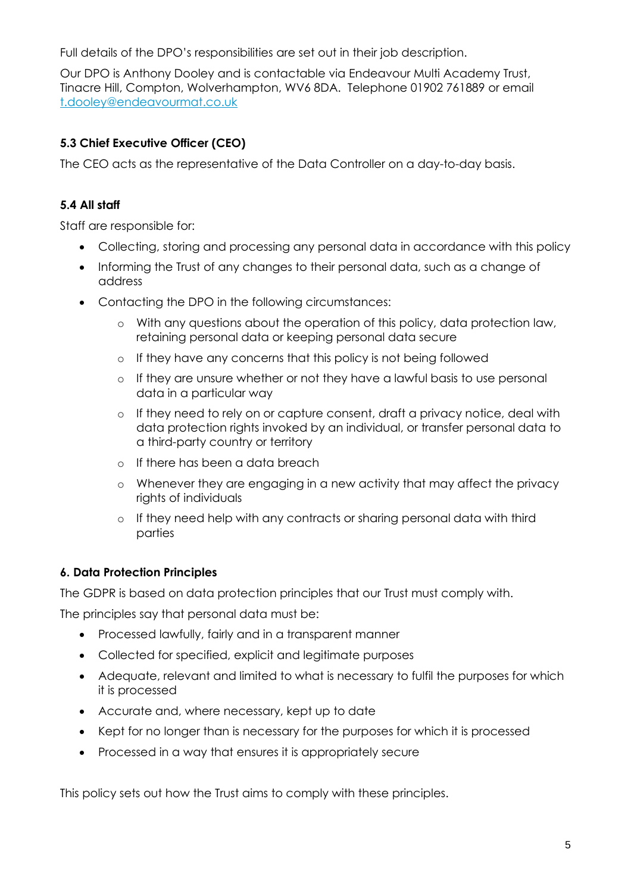Full details of the DPO's responsibilities are set out in their job description.

Our DPO is Anthony Dooley and is contactable via Endeavour Multi Academy Trust, Tinacre Hill, Compton, Wolverhampton, WV6 8DA. Telephone 01902 761889 or email [t.dooley@endeavourmat.co.uk](mailto:t.dooley@endeavourmat.co.uk)

#### **5.3 Chief Executive Officer (CEO)**

The CEO acts as the representative of the Data Controller on a day-to-day basis.

#### **5.4 All staff**

Staff are responsible for:

- Collecting, storing and processing any personal data in accordance with this policy
- Informing the Trust of any changes to their personal data, such as a change of address
- Contacting the DPO in the following circumstances:
	- o With any questions about the operation of this policy, data protection law, retaining personal data or keeping personal data secure
	- o If they have any concerns that this policy is not being followed
	- o If they are unsure whether or not they have a lawful basis to use personal data in a particular way
	- o If they need to rely on or capture consent, draft a privacy notice, deal with data protection rights invoked by an individual, or transfer personal data to a third-party country or territory
	- o If there has been a data breach
	- o Whenever they are engaging in a new activity that may affect the privacy rights of individuals
	- o If they need help with any contracts or sharing personal data with third parties

#### **6. Data Protection Principles**

The GDPR is based on data protection principles that our Trust must comply with.

The principles say that personal data must be:

- Processed lawfully, fairly and in a transparent manner
- Collected for specified, explicit and legitimate purposes
- Adequate, relevant and limited to what is necessary to fulfil the purposes for which it is processed
- Accurate and, where necessary, kept up to date
- Kept for no longer than is necessary for the purposes for which it is processed
- Processed in a way that ensures it is appropriately secure

This policy sets out how the Trust aims to comply with these principles.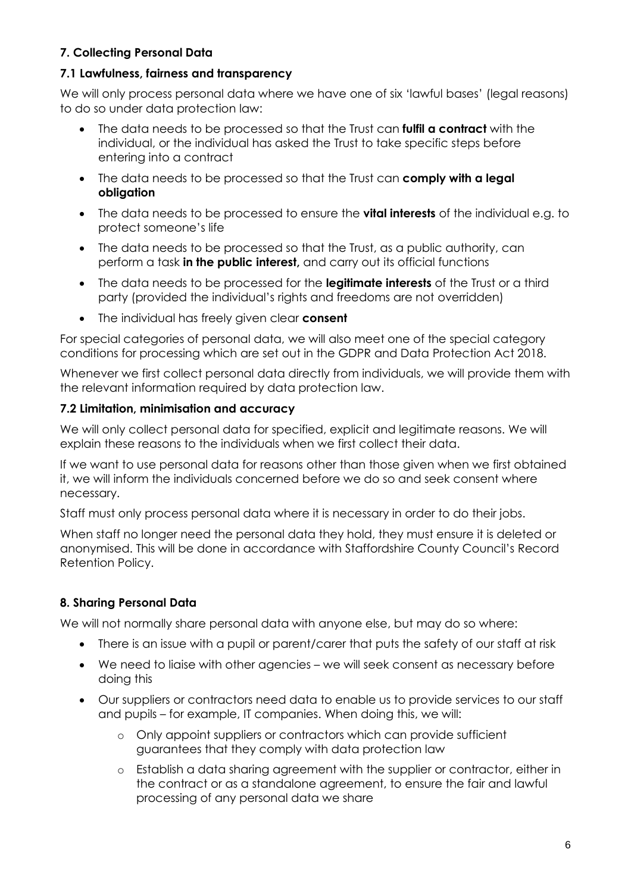# **7. Collecting Personal Data**

#### **7.1 Lawfulness, fairness and transparency**

We will only process personal data where we have one of six 'lawful bases' (legal reasons) to do so under data protection law:

- The data needs to be processed so that the Trust can **fulfil a contract** with the individual, or the individual has asked the Trust to take specific steps before entering into a contract
- The data needs to be processed so that the Trust can **comply with a legal obligation**
- The data needs to be processed to ensure the **vital interests** of the individual e.g. to protect someone's life
- The data needs to be processed so that the Trust, as a public authority, can perform a task **in the public interest,** and carry out its official functions
- The data needs to be processed for the **legitimate interests** of the Trust or a third party (provided the individual's rights and freedoms are not overridden)
- The individual has freely given clear **consent**

For special categories of personal data, we will also meet one of the special category conditions for processing which are set out in the GDPR and Data Protection Act 2018.

Whenever we first collect personal data directly from individuals, we will provide them with the relevant information required by data protection law.

#### **7.2 Limitation, minimisation and accuracy**

We will only collect personal data for specified, explicit and legitimate reasons. We will explain these reasons to the individuals when we first collect their data.

If we want to use personal data for reasons other than those given when we first obtained it, we will inform the individuals concerned before we do so and seek consent where necessary.

Staff must only process personal data where it is necessary in order to do their jobs.

When staff no longer need the personal data they hold, they must ensure it is deleted or anonymised. This will be done in accordance with Staffordshire County Council's Record Retention Policy.

# **8. Sharing Personal Data**

We will not normally share personal data with anyone else, but may do so where:

- There is an issue with a pupil or parent/carer that puts the safety of our staff at risk
- We need to liaise with other agencies we will seek consent as necessary before doing this
- Our suppliers or contractors need data to enable us to provide services to our staff and pupils – for example, IT companies. When doing this, we will:
	- o Only appoint suppliers or contractors which can provide sufficient guarantees that they comply with data protection law
	- o Establish a data sharing agreement with the supplier or contractor, either in the contract or as a standalone agreement, to ensure the fair and lawful processing of any personal data we share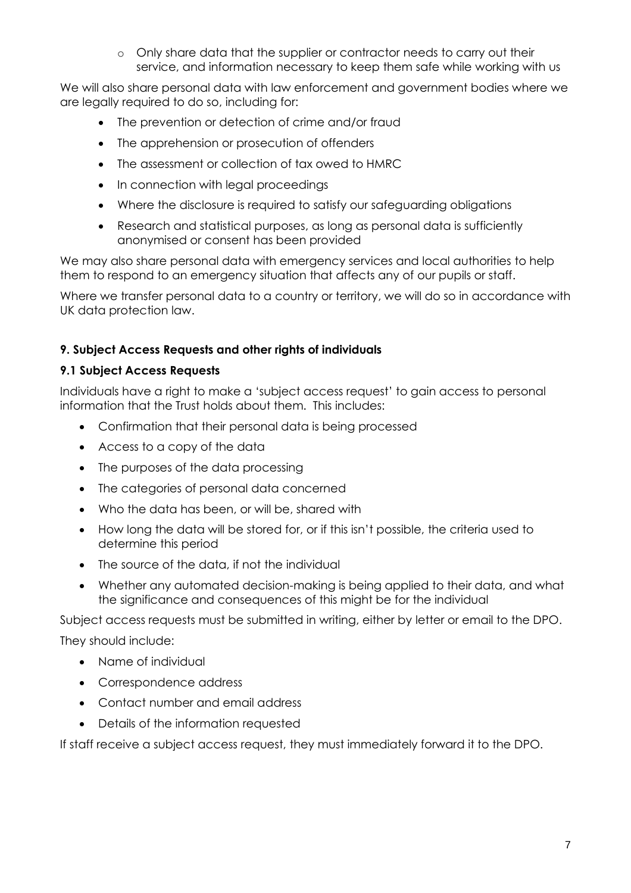o Only share data that the supplier or contractor needs to carry out their service, and information necessary to keep them safe while working with us

We will also share personal data with law enforcement and government bodies where we are legally required to do so, including for:

- The prevention or detection of crime and/or fraud
- The apprehension or prosecution of offenders
- The assessment or collection of tax owed to HMRC
- In connection with legal proceedings
- Where the disclosure is required to satisfy our safeguarding obligations
- Research and statistical purposes, as long as personal data is sufficiently anonymised or consent has been provided

We may also share personal data with emergency services and local authorities to help them to respond to an emergency situation that affects any of our pupils or staff.

Where we transfer personal data to a country or territory, we will do so in accordance with UK data protection law.

#### **9. Subject Access Requests and other rights of individuals**

#### **9.1 Subject Access Requests**

Individuals have a right to make a 'subject access request' to gain access to personal information that the Trust holds about them. This includes:

- Confirmation that their personal data is being processed
- Access to a copy of the data
- The purposes of the data processing
- The categories of personal data concerned
- Who the data has been, or will be, shared with
- How long the data will be stored for, or if this isn't possible, the criteria used to determine this period
- The source of the data, if not the individual
- Whether any automated decision-making is being applied to their data, and what the significance and consequences of this might be for the individual

Subject access requests must be submitted in writing, either by letter or email to the DPO.

They should include:

- Name of individual
- Correspondence address
- Contact number and email address
- Details of the information requested

If staff receive a subject access request, they must immediately forward it to the DPO.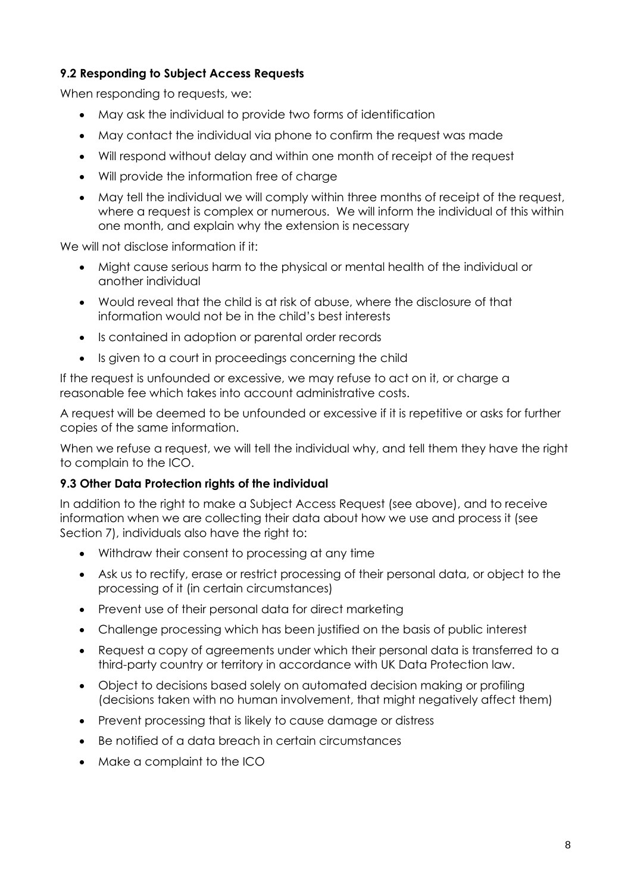# **9.2 Responding to Subject Access Requests**

When responding to requests, we:

- May ask the individual to provide two forms of identification
- May contact the individual via phone to confirm the request was made
- Will respond without delay and within one month of receipt of the request
- Will provide the information free of charge
- May tell the individual we will comply within three months of receipt of the request, where a request is complex or numerous. We will inform the individual of this within one month, and explain why the extension is necessary

We will not disclose information if it:

- Might cause serious harm to the physical or mental health of the individual or another individual
- Would reveal that the child is at risk of abuse, where the disclosure of that information would not be in the child's best interests
- Is contained in adoption or parental order records
- Is given to a court in proceedings concerning the child

If the request is unfounded or excessive, we may refuse to act on it, or charge a reasonable fee which takes into account administrative costs.

A request will be deemed to be unfounded or excessive if it is repetitive or asks for further copies of the same information.

When we refuse a request, we will tell the individual why, and tell them they have the right to complain to the ICO.

# **9.3 Other Data Protection rights of the individual**

In addition to the right to make a Subject Access Request (see above), and to receive information when we are collecting their data about how we use and process it (see Section 7), individuals also have the right to:

- Withdraw their consent to processing at any time
- Ask us to rectify, erase or restrict processing of their personal data, or object to the processing of it (in certain circumstances)
- Prevent use of their personal data for direct marketing
- Challenge processing which has been justified on the basis of public interest
- Request a copy of agreements under which their personal data is transferred to a third-party country or territory in accordance with UK Data Protection law.
- Object to decisions based solely on automated decision making or profiling (decisions taken with no human involvement, that might negatively affect them)
- Prevent processing that is likely to cause damage or distress
- Be notified of a data breach in certain circumstances
- Make a complaint to the ICO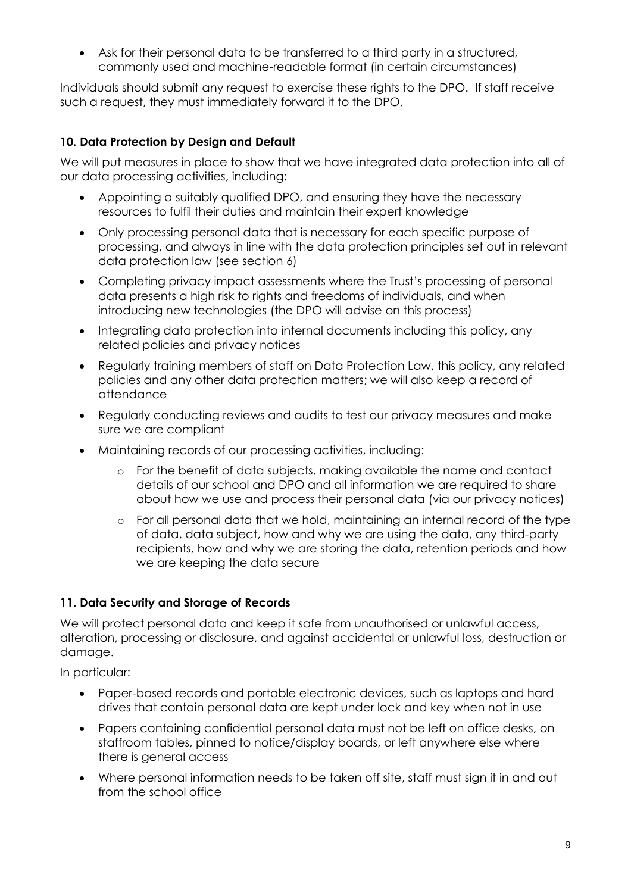• Ask for their personal data to be transferred to a third party in a structured, commonly used and machine-readable format (in certain circumstances)

Individuals should submit any request to exercise these rights to the DPO. If staff receive such a request, they must immediately forward it to the DPO.

# **10. Data Protection by Design and Default**

We will put measures in place to show that we have integrated data protection into all of our data processing activities, including:

- Appointing a suitably qualified DPO, and ensuring they have the necessary resources to fulfil their duties and maintain their expert knowledge
- Only processing personal data that is necessary for each specific purpose of processing, and always in line with the data protection principles set out in relevant data protection law (see section 6)
- Completing privacy impact assessments where the Trust's processing of personal data presents a high risk to rights and freedoms of individuals, and when introducing new technologies (the DPO will advise on this process)
- Integrating data protection into internal documents including this policy, any related policies and privacy notices
- Regularly training members of staff on Data Protection Law, this policy, any related policies and any other data protection matters; we will also keep a record of attendance
- Regularly conducting reviews and audits to test our privacy measures and make sure we are compliant
- Maintaining records of our processing activities, including:
	- o For the benefit of data subjects, making available the name and contact details of our school and DPO and all information we are required to share about how we use and process their personal data (via our privacy notices)
	- o For all personal data that we hold, maintaining an internal record of the type of data, data subject, how and why we are using the data, any third-party recipients, how and why we are storing the data, retention periods and how we are keeping the data secure

# **11. Data Security and Storage of Records**

We will protect personal data and keep it safe from unauthorised or unlawful access, alteration, processing or disclosure, and against accidental or unlawful loss, destruction or damage.

In particular:

- Paper-based records and portable electronic devices, such as laptops and hard drives that contain personal data are kept under lock and key when not in use
- Papers containing confidential personal data must not be left on office desks, on staffroom tables, pinned to notice/display boards, or left anywhere else where there is general access
- Where personal information needs to be taken off site, staff must sign it in and out from the school office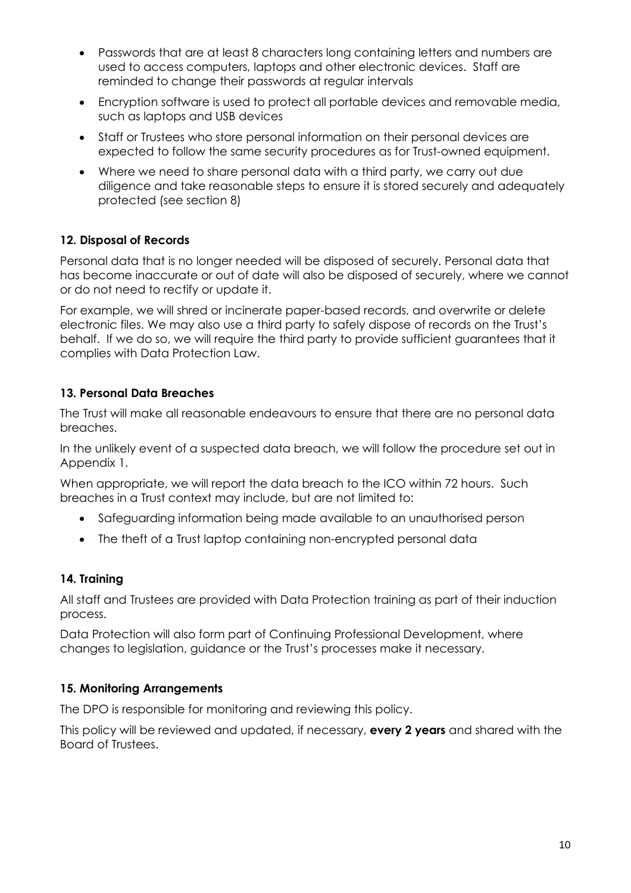- Passwords that are at least 8 characters long containing letters and numbers are used to access computers, laptops and other electronic devices. Staff are reminded to change their passwords at regular intervals
- Encryption software is used to protect all portable devices and removable media, such as laptops and USB devices
- Staff or Trustees who store personal information on their personal devices are expected to follow the same security procedures as for Trust-owned equipment.
- Where we need to share personal data with a third party, we carry out due diligence and take reasonable steps to ensure it is stored securely and adequately protected (see section 8)

# **12. Disposal of Records**

Personal data that is no longer needed will be disposed of securely. Personal data that has become inaccurate or out of date will also be disposed of securely, where we cannot or do not need to rectify or update it.

For example, we will shred or incinerate paper-based records, and overwrite or delete electronic files. We may also use a third party to safely dispose of records on the Trust's behalf. If we do so, we will require the third party to provide sufficient guarantees that it complies with Data Protection Law.

# **13. Personal Data Breaches**

The Trust will make all reasonable endeavours to ensure that there are no personal data breaches.

In the unlikely event of a suspected data breach, we will follow the procedure set out in Appendix 1.

When appropriate, we will report the data breach to the ICO within 72 hours. Such breaches in a Trust context may include, but are not limited to:

- Safeguarding information being made available to an unauthorised person
- The theft of a Trust laptop containing non-encrypted personal data

# **14. Training**

All staff and Trustees are provided with Data Protection training as part of their induction process.

Data Protection will also form part of Continuing Professional Development, where changes to legislation, guidance or the Trust's processes make it necessary.

# **15. Monitoring Arrangements**

The DPO is responsible for monitoring and reviewing this policy.

This policy will be reviewed and updated, if necessary, **every 2 years** and shared with the Board of Trustees.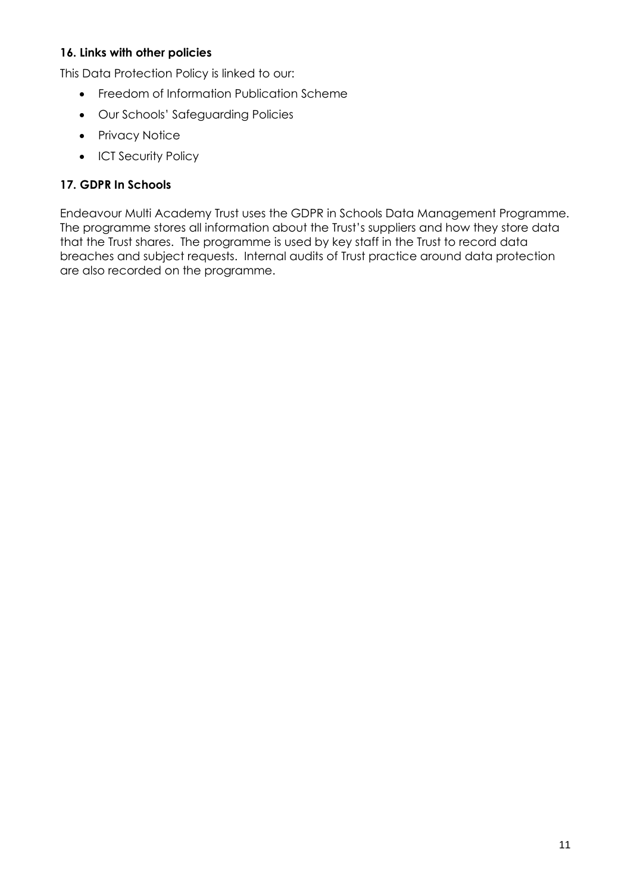#### **16. Links with other policies**

This Data Protection Policy is linked to our:

- Freedom of Information Publication Scheme
- Our Schools' Safeguarding Policies
- Privacy Notice
- ICT Security Policy

#### **17. GDPR In Schools**

Endeavour Multi Academy Trust uses the GDPR in Schools Data Management Programme. The programme stores all information about the Trust's suppliers and how they store data that the Trust shares. The programme is used by key staff in the Trust to record data breaches and subject requests. Internal audits of Trust practice around data protection are also recorded on the programme.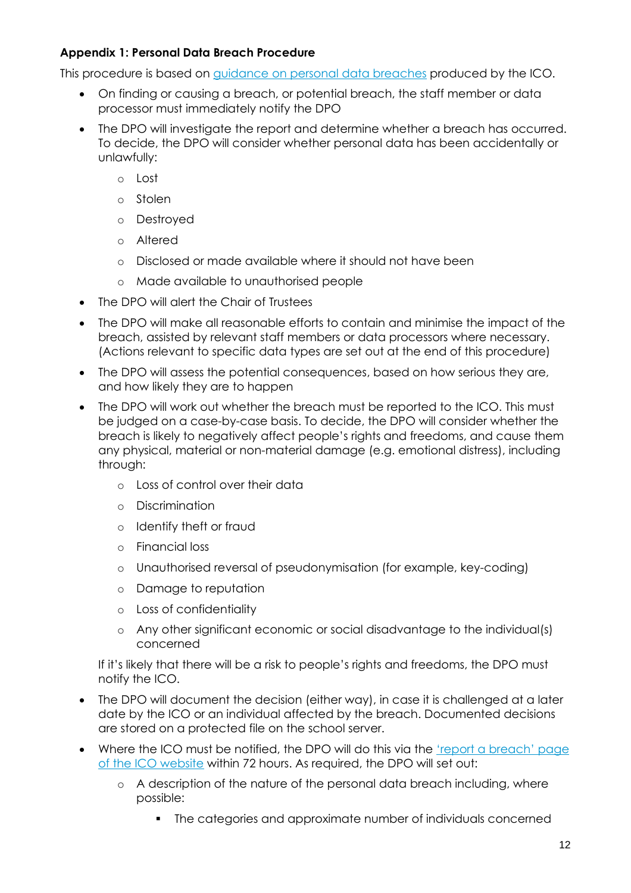# **Appendix 1: Personal Data Breach Procedure**

This procedure is based on [guidance on personal data breaches](https://ico.org.uk/for-organisations/guide-to-the-general-data-protection-regulation-gdpr/personal-data-breaches/) produced by the ICO.

- On finding or causing a breach, or potential breach, the staff member or data processor must immediately notify the DPO
- The DPO will investigate the report and determine whether a breach has occurred. To decide, the DPO will consider whether personal data has been accidentally or unlawfully:
	- o Lost
	- o Stolen
	- o Destroyed
	- o Altered
	- o Disclosed or made available where it should not have been
	- o Made available to unauthorised people
- The DPO will alert the Chair of Trustees
- The DPO will make all reasonable efforts to contain and minimise the impact of the breach, assisted by relevant staff members or data processors where necessary. (Actions relevant to specific data types are set out at the end of this procedure)
- The DPO will assess the potential consequences, based on how serious they are, and how likely they are to happen
- The DPO will work out whether the breach must be reported to the ICO. This must be judged on a case-by-case basis. To decide, the DPO will consider whether the breach is likely to negatively affect people's rights and freedoms, and cause them any physical, material or non-material damage (e.g. emotional distress), including through:
	- o Loss of control over their data
	- o Discrimination
	- o Identify theft or fraud
	- o Financial loss
	- o Unauthorised reversal of pseudonymisation (for example, key-coding)
	- o Damage to reputation
	- o Loss of confidentiality
	- o Any other significant economic or social disadvantage to the individual(s) concerned

If it's likely that there will be a risk to people's rights and freedoms, the DPO must notify the ICO.

- The DPO will document the decision (either way), in case it is challenged at a later date by the ICO or an individual affected by the breach. Documented decisions are stored on a protected file on the school server.
- Where the ICO must be notified, the DPO will do this via the 'report a breach' page [of the ICO website](https://ico.org.uk/for-organisations/report-a-breach/) within 72 hours. As required, the DPO will set out:
	- o A description of the nature of the personal data breach including, where possible:
		- The categories and approximate number of individuals concerned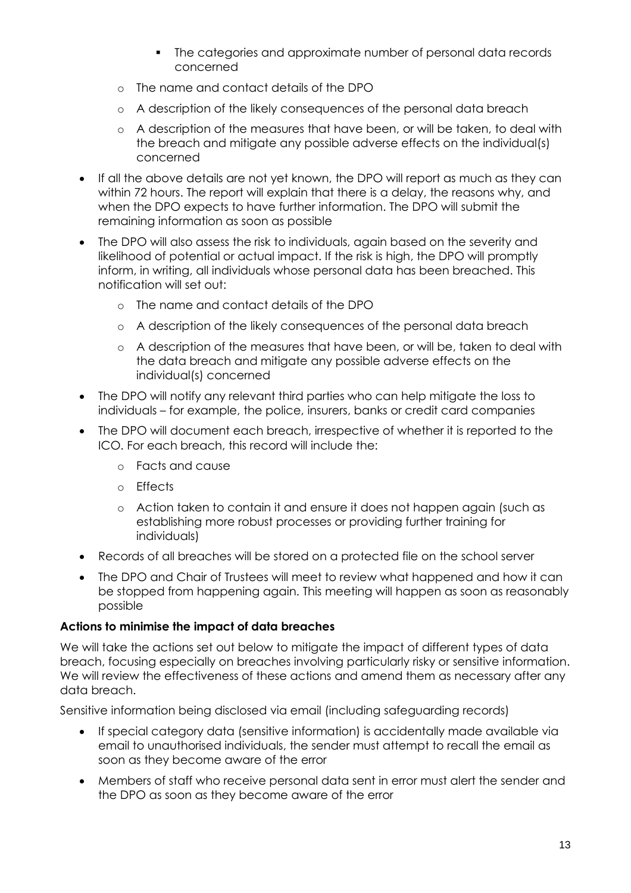- The categories and approximate number of personal data records concerned
- o The name and contact details of the DPO
- o A description of the likely consequences of the personal data breach
- o A description of the measures that have been, or will be taken, to deal with the breach and mitigate any possible adverse effects on the individual(s) concerned
- If all the above details are not yet known, the DPO will report as much as they can within 72 hours. The report will explain that there is a delay, the reasons why, and when the DPO expects to have further information. The DPO will submit the remaining information as soon as possible
- The DPO will also assess the risk to individuals, again based on the severity and likelihood of potential or actual impact. If the risk is high, the DPO will promptly inform, in writing, all individuals whose personal data has been breached. This notification will set out:
	- o The name and contact details of the DPO
	- o A description of the likely consequences of the personal data breach
	- o A description of the measures that have been, or will be, taken to deal with the data breach and mitigate any possible adverse effects on the individual(s) concerned
- The DPO will notify any relevant third parties who can help mitigate the loss to individuals – for example, the police, insurers, banks or credit card companies
- The DPO will document each breach, irrespective of whether it is reported to the ICO. For each breach, this record will include the:
	- o Facts and cause
	- o Effects
	- o Action taken to contain it and ensure it does not happen again (such as establishing more robust processes or providing further training for individuals)
- Records of all breaches will be stored on a protected file on the school server
- The DPO and Chair of Trustees will meet to review what happened and how it can be stopped from happening again. This meeting will happen as soon as reasonably possible

#### **Actions to minimise the impact of data breaches**

We will take the actions set out below to mitigate the impact of different types of data breach, focusing especially on breaches involving particularly risky or sensitive information. We will review the effectiveness of these actions and amend them as necessary after any data breach.

Sensitive information being disclosed via email (including safeguarding records)

- If special category data (sensitive information) is accidentally made available via email to unauthorised individuals, the sender must attempt to recall the email as soon as they become aware of the error
- Members of staff who receive personal data sent in error must alert the sender and the DPO as soon as they become aware of the error